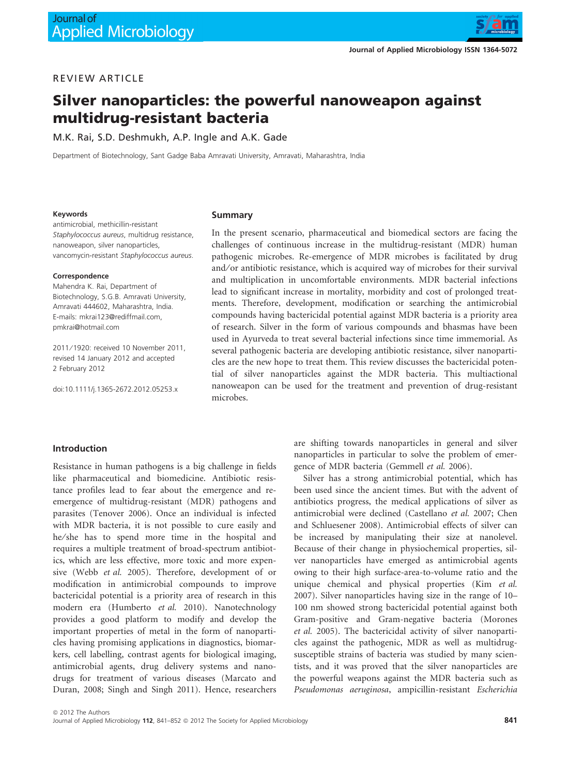

# REVIEW ARTICLE

# Silver nanoparticles: the powerful nanoweapon against multidrug-resistant bacteria

M.K. Rai, S.D. Deshmukh, A.P. Ingle and A.K. Gade

Department of Biotechnology, Sant Gadge Baba Amravati University, Amravati, Maharashtra, India

#### Keywords

Summary

antimicrobial, methicillin-resistant Staphylococcus aureus, multidrug resistance, nanoweapon, silver nanoparticles, vancomycin-resistant Staphylococcus aureus.

#### Correspondence

Mahendra K. Rai, Department of Biotechnology, S.G.B. Amravati University, Amravati 444602, Maharashtra, India. E-mails: mkrai123@rediffmail.com, pmkrai@hotmail.com

2011/1920: received 10 November 2011. revised 14 January 2012 and accepted 2 February 2012

doi:10.1111/j.1365-2672.2012.05253.x

In the present scenario, pharmaceutical and biomedical sectors are facing the challenges of continuous increase in the multidrug-resistant (MDR) human pathogenic microbes. Re-emergence of MDR microbes is facilitated by drug and/or antibiotic resistance, which is acquired way of microbes for their survival and multiplication in uncomfortable environments. MDR bacterial infections lead to significant increase in mortality, morbidity and cost of prolonged treatments. Therefore, development, modification or searching the antimicrobial compounds having bactericidal potential against MDR bacteria is a priority area of research. Silver in the form of various compounds and bhasmas have been used in Ayurveda to treat several bacterial infections since time immemorial. As several pathogenic bacteria are developing antibiotic resistance, silver nanoparticles are the new hope to treat them. This review discusses the bactericidal potential of silver nanoparticles against the MDR bacteria. This multiactional nanoweapon can be used for the treatment and prevention of drug-resistant microbes.

#### Introduction

Resistance in human pathogens is a big challenge in fields like pharmaceutical and biomedicine. Antibiotic resistance profiles lead to fear about the emergence and reemergence of multidrug-resistant (MDR) pathogens and parasites (Tenover 2006). Once an individual is infected with MDR bacteria, it is not possible to cure easily and he/she has to spend more time in the hospital and requires a multiple treatment of broad-spectrum antibiotics, which are less effective, more toxic and more expensive (Webb et al. 2005). Therefore, development of or modification in antimicrobial compounds to improve bactericidal potential is a priority area of research in this modern era (Humberto et al. 2010). Nanotechnology provides a good platform to modify and develop the important properties of metal in the form of nanoparticles having promising applications in diagnostics, biomarkers, cell labelling, contrast agents for biological imaging, antimicrobial agents, drug delivery systems and nanodrugs for treatment of various diseases (Marcato and Duran, 2008; Singh and Singh 2011). Hence, researchers

are shifting towards nanoparticles in general and silver nanoparticles in particular to solve the problem of emergence of MDR bacteria (Gemmell et al. 2006).

Silver has a strong antimicrobial potential, which has been used since the ancient times. But with the advent of antibiotics progress, the medical applications of silver as antimicrobial were declined (Castellano et al. 2007; Chen and Schluesener 2008). Antimicrobial effects of silver can be increased by manipulating their size at nanolevel. Because of their change in physiochemical properties, silver nanoparticles have emerged as antimicrobial agents owing to their high surface-area-to-volume ratio and the unique chemical and physical properties (Kim et al. 2007). Silver nanoparticles having size in the range of 10– 100 nm showed strong bactericidal potential against both Gram-positive and Gram-negative bacteria (Morones et al. 2005). The bactericidal activity of silver nanoparticles against the pathogenic, MDR as well as multidrugsusceptible strains of bacteria was studied by many scientists, and it was proved that the silver nanoparticles are the powerful weapons against the MDR bacteria such as Pseudomonas aeruginosa, ampicillin-resistant Escherichia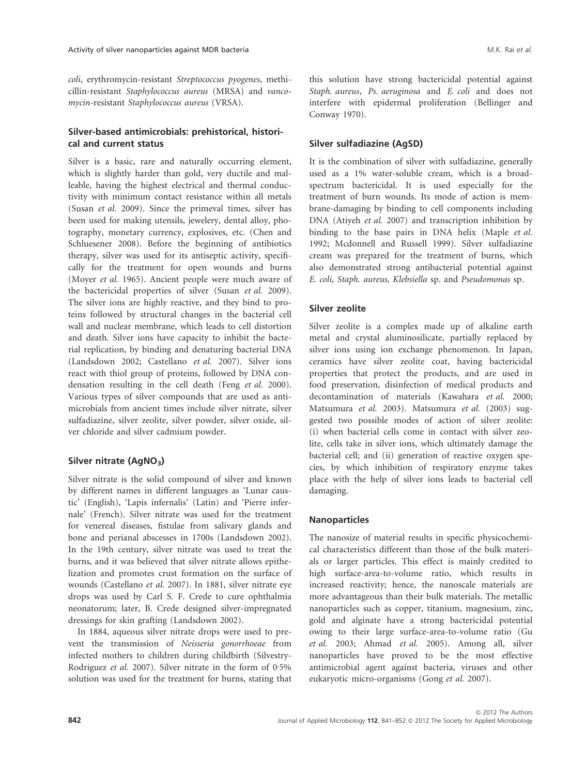coli, erythromycin-resistant Streptococcus pyogenes, methicillin-resistant Staphylococcus aureus (MRSA) and vancomycin-resistant Staphylococcus aureus (VRSA).

# Silver-based antimicrobials: prehistorical, historical and current status

Silver is a basic, rare and naturally occurring element, which is slightly harder than gold, very ductile and malleable, having the highest electrical and thermal conductivity with minimum contact resistance within all metals (Susan et al. 2009). Since the primeval times, silver has been used for making utensils, jewelery, dental alloy, photography, monetary currency, explosives, etc. (Chen and Schluesener 2008). Before the beginning of antibiotics therapy, silver was used for its antiseptic activity, specifically for the treatment for open wounds and burns (Moyer et al. 1965). Ancient people were much aware of the bactericidal properties of silver (Susan et al. 2009). The silver ions are highly reactive, and they bind to proteins followed by structural changes in the bacterial cell wall and nuclear membrane, which leads to cell distortion and death. Silver ions have capacity to inhibit the bacterial replication, by binding and denaturing bacterial DNA (Landsdown 2002; Castellano et al. 2007). Silver ions react with thiol group of proteins, followed by DNA condensation resulting in the cell death (Feng et al. 2000). Various types of silver compounds that are used as antimicrobials from ancient times include silver nitrate, silver sulfadiazine, silver zeolite, silver powder, silver oxide, silver chloride and silver cadmium powder.

# Silver nitrate (AgNO<sub>3</sub>)

Silver nitrate is the solid compound of silver and known by different names in different languages as 'Lunar caustic' (English), 'Lapis infernalis' (Latin) and 'Pierre infernale' (French). Silver nitrate was used for the treatment for venereal diseases, fistulae from salivary glands and bone and perianal abscesses in 1700s (Landsdown 2002). In the 19th century, silver nitrate was used to treat the burns, and it was believed that silver nitrate allows epithelization and promotes crust formation on the surface of wounds (Castellano et al. 2007). In 1881, silver nitrate eye drops was used by Carl S. F. Crede to cure ophthalmia neonatorum; later, B. Crede designed silver-impregnated dressings for skin grafting (Landsdown 2002).

In 1884, aqueous silver nitrate drops were used to prevent the transmission of Neisseria gonorrhoeae from infected mothers to children during childbirth (Silvestry-Rodriguez et al. 2007). Silver nitrate in the form of  $0.5\%$ solution was used for the treatment for burns, stating that this solution have strong bactericidal potential against Staph. aureus, Ps. aeruginosa and E. coli and does not interfere with epidermal proliferation (Bellinger and Conway 1970).

## Silver sulfadiazine (AgSD)

It is the combination of silver with sulfadiazine, generally used as a 1% water-soluble cream, which is a broadspectrum bactericidal. It is used especially for the treatment of burn wounds. Its mode of action is membrane-damaging by binding to cell components including DNA (Atiyeh et al. 2007) and transcription inhibition by binding to the base pairs in DNA helix (Maple et al. 1992; Mcdonnell and Russell 1999). Silver sulfadiazine cream was prepared for the treatment of burns, which also demonstrated strong antibacterial potential against E. coli, Staph. aureus, Klebsiella sp. and Pseudomonas sp.

# Silver zeolite

Silver zeolite is a complex made up of alkaline earth metal and crystal aluminosilicate, partially replaced by silver ions using ion exchange phenomenon. In Japan, ceramics have silver zeolite coat, having bactericidal properties that protect the products, and are used in food preservation, disinfection of medical products and decontamination of materials (Kawahara et al. 2000; Matsumura et al. 2003). Matsumura et al. (2003) suggested two possible modes of action of silver zeolite: (i) when bacterial cells come in contact with silver zeolite, cells take in silver ions, which ultimately damage the bacterial cell; and (ii) generation of reactive oxygen species, by which inhibition of respiratory enzyme takes place with the help of silver ions leads to bacterial cell damaging.

### Nanoparticles

The nanosize of material results in specific physicochemical characteristics different than those of the bulk materials or larger particles. This effect is mainly credited to high surface-area-to-volume ratio, which results in increased reactivity; hence, the nanoscale materials are more advantageous than their bulk materials. The metallic nanoparticles such as copper, titanium, magnesium, zinc, gold and alginate have a strong bactericidal potential owing to their large surface-area-to-volume ratio (Gu et al. 2003; Ahmad et al. 2005). Among all, silver nanoparticles have proved to be the most effective antimicrobial agent against bacteria, viruses and other eukaryotic micro-organisms (Gong et al. 2007).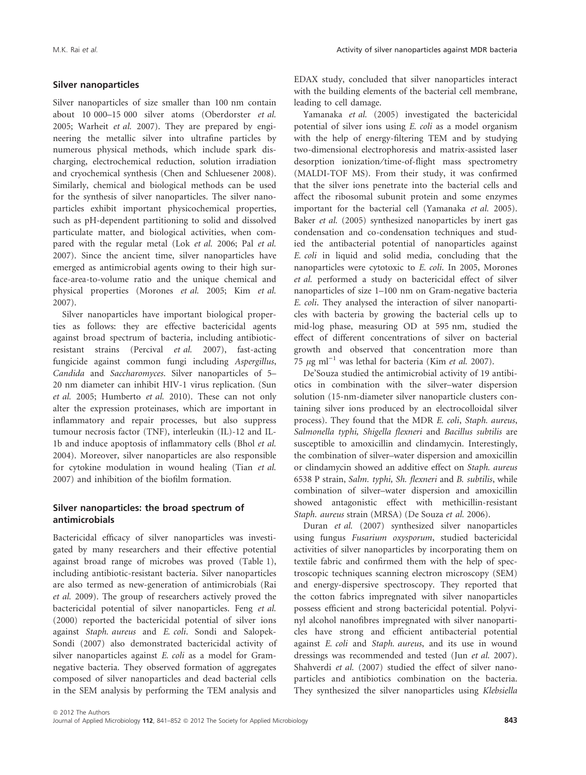## Silver nanoparticles

Silver nanoparticles of size smaller than 100 nm contain about 10 000–15 000 silver atoms (Oberdorster et al. 2005; Warheit et al. 2007). They are prepared by engineering the metallic silver into ultrafine particles by numerous physical methods, which include spark discharging, electrochemical reduction, solution irradiation and cryochemical synthesis (Chen and Schluesener 2008). Similarly, chemical and biological methods can be used for the synthesis of silver nanoparticles. The silver nanoparticles exhibit important physicochemical properties, such as pH-dependent partitioning to solid and dissolved particulate matter, and biological activities, when compared with the regular metal (Lok et al. 2006; Pal et al. 2007). Since the ancient time, silver nanoparticles have emerged as antimicrobial agents owing to their high surface-area-to-volume ratio and the unique chemical and physical properties (Morones et al. 2005; Kim et al. 2007).

Silver nanoparticles have important biological properties as follows: they are effective bactericidal agents against broad spectrum of bacteria, including antibioticresistant strains (Percival et al. 2007), fast-acting fungicide against common fungi including Aspergillus, Candida and Saccharomyces. Silver nanoparticles of 5– 20 nm diameter can inhibit HIV-1 virus replication. (Sun et al. 2005; Humberto et al. 2010). These can not only alter the expression proteinases, which are important in inflammatory and repair processes, but also suppress tumour necrosis factor (TNF), interleukin (IL)-12 and IL-1b and induce apoptosis of inflammatory cells (Bhol et al. 2004). Moreover, silver nanoparticles are also responsible for cytokine modulation in wound healing (Tian et al. 2007) and inhibition of the biofilm formation.

# Silver nanoparticles: the broad spectrum of antimicrobials

Bactericidal efficacy of silver nanoparticles was investigated by many researchers and their effective potential against broad range of microbes was proved (Table 1), including antibiotic-resistant bacteria. Silver nanoparticles are also termed as new-generation of antimicrobials (Rai et al. 2009). The group of researchers actively proved the bactericidal potential of silver nanoparticles. Feng et al. (2000) reported the bactericidal potential of silver ions against Staph. aureus and E. coli. Sondi and Salopek-Sondi (2007) also demonstrated bactericidal activity of silver nanoparticles against E. coli as a model for Gramnegative bacteria. They observed formation of aggregates composed of silver nanoparticles and dead bacterial cells in the SEM analysis by performing the TEM analysis and

EDAX study, concluded that silver nanoparticles interact with the building elements of the bacterial cell membrane, leading to cell damage.

Yamanaka et al. (2005) investigated the bactericidal potential of silver ions using E. coli as a model organism with the help of energy-filtering TEM and by studying two-dimensional electrophoresis and matrix-assisted laser desorption ionization/time-of-flight mass spectrometry (MALDI-TOF MS). From their study, it was confirmed that the silver ions penetrate into the bacterial cells and affect the ribosomal subunit protein and some enzymes important for the bacterial cell (Yamanaka et al. 2005). Baker et al. (2005) synthesized nanoparticles by inert gas condensation and co-condensation techniques and studied the antibacterial potential of nanoparticles against E. coli in liquid and solid media, concluding that the nanoparticles were cytotoxic to E. coli. In 2005, Morones et al. performed a study on bactericidal effect of silver nanoparticles of size 1–100 nm on Gram-negative bacteria E. coli. They analysed the interaction of silver nanoparticles with bacteria by growing the bacterial cells up to mid-log phase, measuring OD at 595 nm, studied the effect of different concentrations of silver on bacterial growth and observed that concentration more than 75  $\mu$ g ml<sup>-1</sup> was lethal for bacteria (Kim *et al.* 2007).

De'Souza studied the antimicrobial activity of 19 antibiotics in combination with the silver–water dispersion solution (15-nm-diameter silver nanoparticle clusters containing silver ions produced by an electrocolloidal silver process). They found that the MDR E. coli, Staph. aureus, Salmonella typhi, Shigella flexneri and Bacillus subtilis are susceptible to amoxicillin and clindamycin. Interestingly, the combination of silver–water dispersion and amoxicillin or clindamycin showed an additive effect on Staph. aureus 6538 P strain, Salm. typhi, Sh. flexneri and B. subtilis, while combination of silver–water dispersion and amoxicillin showed antagonistic effect with methicillin-resistant Staph. aureus strain (MRSA) (De Souza et al. 2006).

Duran et al. (2007) synthesized silver nanoparticles using fungus Fusarium oxysporum, studied bactericidal activities of silver nanoparticles by incorporating them on textile fabric and confirmed them with the help of spectroscopic techniques scanning electron microscopy (SEM) and energy-dispersive spectroscopy. They reported that the cotton fabrics impregnated with silver nanoparticles possess efficient and strong bactericidal potential. Polyvinyl alcohol nanofibres impregnated with silver nanoparticles have strong and efficient antibacterial potential against E. coli and Staph. aureus, and its use in wound dressings was recommended and tested (Jun et al. 2007). Shahverdi et al. (2007) studied the effect of silver nanoparticles and antibiotics combination on the bacteria. They synthesized the silver nanoparticles using Klebsiella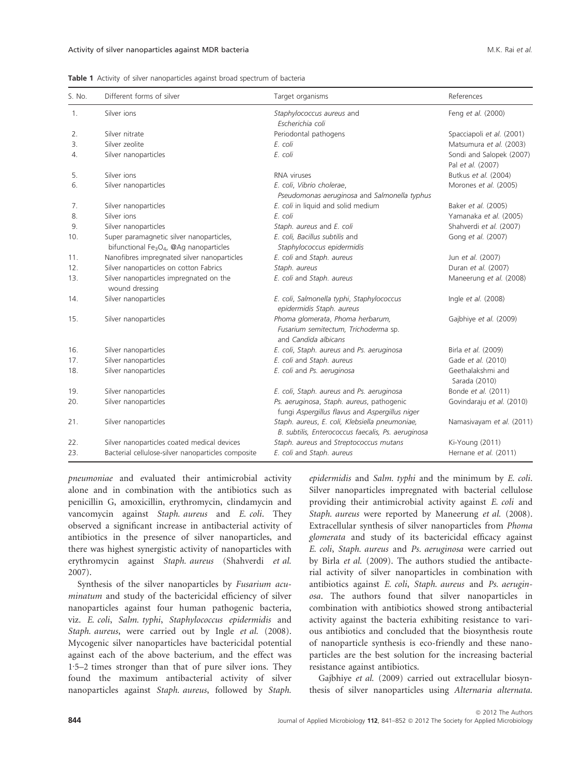| S. No. | Different forms of silver                                                                                   | Target organisms                                                                                     | References                                    |
|--------|-------------------------------------------------------------------------------------------------------------|------------------------------------------------------------------------------------------------------|-----------------------------------------------|
| 1.     | Silver ions                                                                                                 | Staphylococcus aureus and<br>Escherichia coli                                                        | Feng et al. (2000)                            |
| 2.     | Silver nitrate                                                                                              | Periodontal pathogens                                                                                | Spacciapoli et al. (2001)                     |
| 3.     | Silver zeolite                                                                                              | E. coli                                                                                              | Matsumura et al. (2003)                       |
| 4.     | Silver nanoparticles                                                                                        | E. coli                                                                                              | Sondi and Salopek (2007)<br>Pal et al. (2007) |
| 5.     | Silver ions                                                                                                 | RNA viruses                                                                                          | Butkus et al. (2004)                          |
| 6.     | Silver nanoparticles                                                                                        | E. coli, Vibrio cholerae,<br>Pseudomonas aeruginosa and Salmonella typhus                            | Morones et al. (2005)                         |
| 7.     | Silver nanoparticles                                                                                        | E. coli in liquid and solid medium                                                                   | Baker et al. (2005)                           |
| 8.     | Silver ions                                                                                                 | E. coli                                                                                              | Yamanaka et al. (2005)                        |
| 9.     | Silver nanoparticles                                                                                        | Staph. aureus and E. coli                                                                            | Shahverdi et al. (2007)                       |
| 10.    | Super paramagnetic silver nanoparticles,<br>bifunctional Fe <sub>3</sub> O <sub>4</sub> , @Ag nanoparticles | E. coli, Bacillus subtilis and<br>Staphylococcus epidermidis                                         | Gong et al. (2007)                            |
| 11.    | Nanofibres impregnated silver nanoparticles                                                                 | E. coli and Staph. aureus                                                                            | Jun et al. (2007)                             |
| 12.    | Silver nanoparticles on cotton Fabrics                                                                      | Staph. aureus                                                                                        | Duran et al. (2007)                           |
| 13.    | Silver nanoparticles impregnated on the<br>wound dressing                                                   | E. coli and Staph. aureus                                                                            | Maneerung et al. (2008)                       |
| 14.    | Silver nanoparticles                                                                                        | E. coli, Salmonella typhi, Staphylococcus<br>epidermidis Staph. aureus                               | Ingle et al. (2008)                           |
| 15.    | Silver nanoparticles                                                                                        | Phoma glomerata, Phoma herbarum,<br>Fusarium semitectum, Trichoderma sp.<br>and Candida albicans     | Gajbhiye et al. (2009)                        |
| 16.    | Silver nanoparticles                                                                                        | E. coli, Staph. aureus and Ps. aeruginosa                                                            | Birla et al. (2009)                           |
| 17.    | Silver nanoparticles                                                                                        | E. coli and Staph. aureus                                                                            | Gade et al. (2010)                            |
| 18.    | Silver nanoparticles                                                                                        | E. coli and Ps. aeruginosa                                                                           | Geethalakshmi and<br>Sarada (2010)            |
| 19.    | Silver nanoparticles                                                                                        | E. coli, Staph. aureus and Ps. aeruginosa                                                            | Bonde et al. (2011)                           |
| 20.    | Silver nanoparticles                                                                                        | Ps. aeruginosa, Staph. aureus, pathogenic<br>fungi Aspergillus flavus and Aspergillus niger          | Govindaraju et al. (2010)                     |
| 21.    | Silver nanoparticles                                                                                        | Staph. aureus, E. coli, Klebsiella pneumoniae,<br>B. subtilis, Enterococcus faecalis, Ps. aeruginosa | Namasivayam et al. (2011)                     |
| 22.    | Silver nanoparticles coated medical devices                                                                 | Staph. aureus and Streptococcus mutans                                                               | Ki-Young (2011)                               |
| 23.    | Bacterial cellulose-silver nanoparticles composite                                                          | E. coli and Staph. aureus                                                                            | Hernane et al. (2011)                         |

Table 1 Activity of silver nanoparticles against broad spectrum of bacteria

pneumoniae and evaluated their antimicrobial activity alone and in combination with the antibiotics such as penicillin G, amoxicillin, erythromycin, clindamycin and vancomycin against Staph. aureus and E. coli. They observed a significant increase in antibacterial activity of antibiotics in the presence of silver nanoparticles, and there was highest synergistic activity of nanoparticles with erythromycin against Staph. aureus (Shahverdi et al. 2007).

Synthesis of the silver nanoparticles by Fusarium acuminatum and study of the bactericidal efficiency of silver nanoparticles against four human pathogenic bacteria, viz. E. coli, Salm. typhi, Staphylococcus epidermidis and Staph. aureus, were carried out by Ingle et al. (2008). Mycogenic silver nanoparticles have bactericidal potential against each of the above bacterium, and the effect was  $1.5-2$  times stronger than that of pure silver ions. They found the maximum antibacterial activity of silver nanoparticles against Staph. aureus, followed by Staph.

epidermidis and Salm. typhi and the minimum by E. coli. Silver nanoparticles impregnated with bacterial cellulose providing their antimicrobial activity against E. coli and Staph. aureus were reported by Maneerung et al. (2008). Extracellular synthesis of silver nanoparticles from Phoma glomerata and study of its bactericidal efficacy against E. coli, Staph. aureus and Ps. aeruginosa were carried out by Birla et al. (2009). The authors studied the antibacterial activity of silver nanoparticles in combination with antibiotics against E. coli, Staph. aureus and Ps. aeruginosa. The authors found that silver nanoparticles in combination with antibiotics showed strong antibacterial activity against the bacteria exhibiting resistance to various antibiotics and concluded that the biosynthesis route of nanoparticle synthesis is eco-friendly and these nanoparticles are the best solution for the increasing bacterial resistance against antibiotics.

Gajbhiye et al. (2009) carried out extracellular biosynthesis of silver nanoparticles using Alternaria alternata.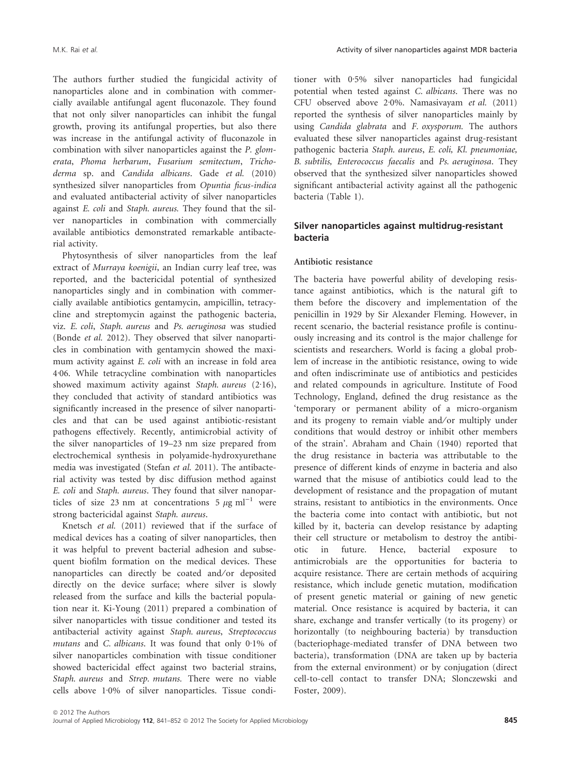The authors further studied the fungicidal activity of nanoparticles alone and in combination with commercially available antifungal agent fluconazole. They found that not only silver nanoparticles can inhibit the fungal growth, proving its antifungal properties, but also there was increase in the antifungal activity of fluconazole in combination with silver nanoparticles against the P. glomerata, Phoma herbarum, Fusarium semitectum, Trichoderma sp. and Candida albicans. Gade et al. (2010) synthesized silver nanoparticles from Opuntia ficus-indica and evaluated antibacterial activity of silver nanoparticles against E. coli and Staph. aureus. They found that the silver nanoparticles in combination with commercially available antibiotics demonstrated remarkable antibacterial activity.

Phytosynthesis of silver nanoparticles from the leaf extract of Murraya koenigii, an Indian curry leaf tree, was reported, and the bactericidal potential of synthesized nanoparticles singly and in combination with commercially available antibiotics gentamycin, ampicillin, tetracycline and streptomycin against the pathogenic bacteria, viz. E. coli, Staph. aureus and Ps. aeruginosa was studied (Bonde et al. 2012). They observed that silver nanoparticles in combination with gentamycin showed the maximum activity against *E. coli* with an increase in fold area 4.06. While tetracycline combination with nanoparticles showed maximum activity against Staph. aureus  $(2.16)$ , they concluded that activity of standard antibiotics was significantly increased in the presence of silver nanoparticles and that can be used against antibiotic-resistant pathogens effectively. Recently, antimicrobial activity of the silver nanoparticles of 19–23 nm size prepared from electrochemical synthesis in polyamide-hydroxyurethane media was investigated (Stefan et al. 2011). The antibacterial activity was tested by disc diffusion method against E. coli and Staph. aureus. They found that silver nanoparticles of size 23 nm at concentrations 5  $\mu$ g ml<sup>-1</sup> were strong bactericidal against Staph. aureus.

Knetsch et al. (2011) reviewed that if the surface of medical devices has a coating of silver nanoparticles, then it was helpful to prevent bacterial adhesion and subsequent biofilm formation on the medical devices. These nanoparticles can directly be coated and/or deposited directly on the device surface; where silver is slowly released from the surface and kills the bacterial population near it. Ki-Young (2011) prepared a combination of silver nanoparticles with tissue conditioner and tested its antibacterial activity against Staph. aureus, Streptococcus mutans and C. albicans. It was found that only  $0.1\%$  of silver nanoparticles combination with tissue conditioner showed bactericidal effect against two bacterial strains, Staph. aureus and Strep. mutans. There were no viable cells above 1.0% of silver nanoparticles. Tissue condi-

tioner with 0.5% silver nanoparticles had fungicidal potential when tested against C. albicans. There was no CFU observed above 2.0%. Namasivayam et al. (2011) reported the synthesis of silver nanoparticles mainly by using Candida glabrata and F. oxysporum. The authors evaluated these silver nanoparticles against drug-resistant pathogenic bacteria Staph. aureus, E. coli, Kl. pneumoniae, B. subtilis, Enterococcus faecalis and Ps. aeruginosa. They observed that the synthesized silver nanoparticles showed significant antibacterial activity against all the pathogenic bacteria (Table 1).

# Silver nanoparticles against multidrug-resistant bacteria

## Antibiotic resistance

The bacteria have powerful ability of developing resistance against antibiotics, which is the natural gift to them before the discovery and implementation of the penicillin in 1929 by Sir Alexander Fleming. However, in recent scenario, the bacterial resistance profile is continuously increasing and its control is the major challenge for scientists and researchers. World is facing a global problem of increase in the antibiotic resistance, owing to wide and often indiscriminate use of antibiotics and pesticides and related compounds in agriculture. Institute of Food Technology, England, defined the drug resistance as the 'temporary or permanent ability of a micro-organism and its progeny to remain viable and/or multiply under conditions that would destroy or inhibit other members of the strain'. Abraham and Chain (1940) reported that the drug resistance in bacteria was attributable to the presence of different kinds of enzyme in bacteria and also warned that the misuse of antibiotics could lead to the development of resistance and the propagation of mutant strains, resistant to antibiotics in the environments. Once the bacteria come into contact with antibiotic, but not killed by it, bacteria can develop resistance by adapting their cell structure or metabolism to destroy the antibiotic in future. Hence, bacterial exposure to antimicrobials are the opportunities for bacteria to acquire resistance. There are certain methods of acquiring resistance, which include genetic mutation, modification of present genetic material or gaining of new genetic material. Once resistance is acquired by bacteria, it can share, exchange and transfer vertically (to its progeny) or horizontally (to neighbouring bacteria) by transduction (bacteriophage-mediated transfer of DNA between two bacteria), transformation (DNA are taken up by bacteria from the external environment) or by conjugation (direct cell-to-cell contact to transfer DNA; Slonczewski and Foster, 2009).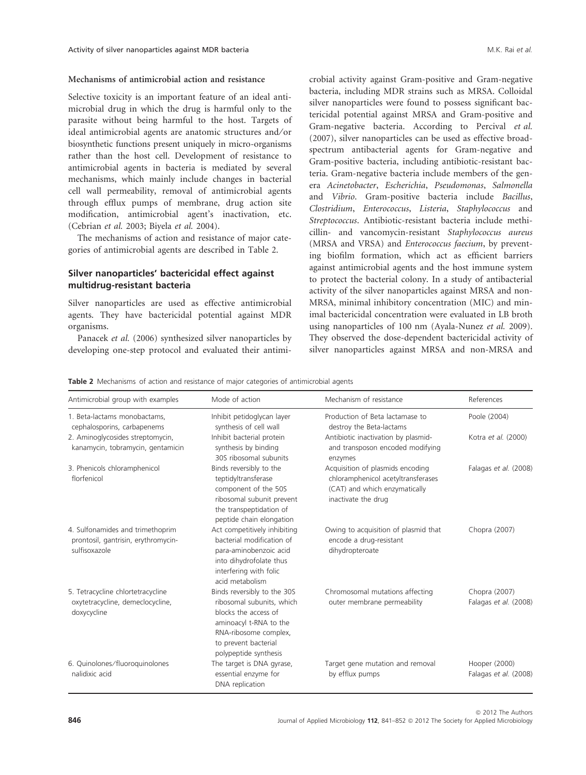## Mechanisms of antimicrobial action and resistance

Selective toxicity is an important feature of an ideal antimicrobial drug in which the drug is harmful only to the parasite without being harmful to the host. Targets of ideal antimicrobial agents are anatomic structures and ⁄ or biosynthetic functions present uniquely in micro-organisms rather than the host cell. Development of resistance to antimicrobial agents in bacteria is mediated by several mechanisms, which mainly include changes in bacterial cell wall permeability, removal of antimicrobial agents through efflux pumps of membrane, drug action site modification, antimicrobial agent's inactivation, etc. (Cebrian et al. 2003; Biyela et al. 2004).

The mechanisms of action and resistance of major categories of antimicrobial agents are described in Table 2.

# Silver nanoparticles' bactericidal effect against multidrug-resistant bacteria

Silver nanoparticles are used as effective antimicrobial agents. They have bactericidal potential against MDR organisms.

Panacek et al. (2006) synthesized silver nanoparticles by developing one-step protocol and evaluated their antimicrobial activity against Gram-positive and Gram-negative bacteria, including MDR strains such as MRSA. Colloidal silver nanoparticles were found to possess significant bactericidal potential against MRSA and Gram-positive and Gram-negative bacteria. According to Percival et al. (2007), silver nanoparticles can be used as effective broadspectrum antibacterial agents for Gram-negative and Gram-positive bacteria, including antibiotic-resistant bacteria. Gram-negative bacteria include members of the genera Acinetobacter, Escherichia, Pseudomonas, Salmonella and Vibrio. Gram-positive bacteria include Bacillus, Clostridium, Enterococcus, Listeria, Staphylococcus and Streptococcus. Antibiotic-resistant bacteria include methicillin- and vancomycin-resistant Staphylococcus aureus (MRSA and VRSA) and Enterococcus faecium, by preventing biofilm formation, which act as efficient barriers against antimicrobial agents and the host immune system to protect the bacterial colony. In a study of antibacterial activity of the silver nanoparticles against MRSA and non-MRSA, minimal inhibitory concentration (MIC) and minimal bactericidal concentration were evaluated in LB broth using nanoparticles of 100 nm (Ayala-Nunez et al. 2009). They observed the dose-dependent bactericidal activity of silver nanoparticles against MRSA and non-MRSA and

Table 2 Mechanisms of action and resistance of major categories of antimicrobial agents

| Antimicrobial group with examples                                                        | Mode of action                                                                                                                                                                       | Mechanism of resistance                                                                                                        | References                             |
|------------------------------------------------------------------------------------------|--------------------------------------------------------------------------------------------------------------------------------------------------------------------------------------|--------------------------------------------------------------------------------------------------------------------------------|----------------------------------------|
| 1. Beta-lactams monobactams,<br>cephalosporins, carbapenems                              | Inhibit petidoglycan layer<br>synthesis of cell wall                                                                                                                                 | Production of Beta lactamase to<br>destroy the Beta-lactams                                                                    | Poole (2004)                           |
| 2. Aminoglycosides streptomycin,<br>kanamycin, tobramycin, gentamicin                    | Inhibit bacterial protein<br>synthesis by binding<br>30S ribosomal subunits                                                                                                          | Antibiotic inactivation by plasmid-<br>and transposon encoded modifying<br>enzymes                                             | Kotra et al. (2000)                    |
| 3. Phenicols chloramphenicol<br>florfenicol                                              | Binds reversibly to the<br>teptidyltransferase<br>component of the 50S<br>ribosomal subunit prevent<br>the transpeptidation of<br>peptide chain elongation                           | Acquisition of plasmids encoding<br>chloramphenicol acetyltransferases<br>(CAT) and which enzymatically<br>inactivate the drug | Falagas et al. (2008)                  |
| 4. Sulfonamides and trimethoprim<br>prontosil, gantrisin, erythromycin-<br>sulfisoxazole | Act competitively inhibiting<br>bacterial modification of<br>para-aminobenzoic acid<br>into dihydrofolate thus<br>interfering with folic<br>acid metabolism                          | Owing to acquisition of plasmid that<br>encode a drug-resistant<br>dihydropteroate                                             | Chopra (2007)                          |
| 5. Tetracycline chlortetracycline<br>oxytetracycline, demeclocycline,<br>doxycycline     | Binds reversibly to the 30S<br>ribosomal subunits, which<br>blocks the access of<br>aminoacyl t-RNA to the<br>RNA-ribosome complex,<br>to prevent bacterial<br>polypeptide synthesis | Chromosomal mutations affecting<br>outer membrane permeability                                                                 | Chopra (2007)<br>Falagas et al. (2008) |
| 6. Quinolones/fluoroquinolones<br>nalidixic acid                                         | The target is DNA gyrase,<br>essential enzyme for<br>DNA replication                                                                                                                 | Target gene mutation and removal<br>by efflux pumps                                                                            | Hooper (2000)<br>Falagas et al. (2008) |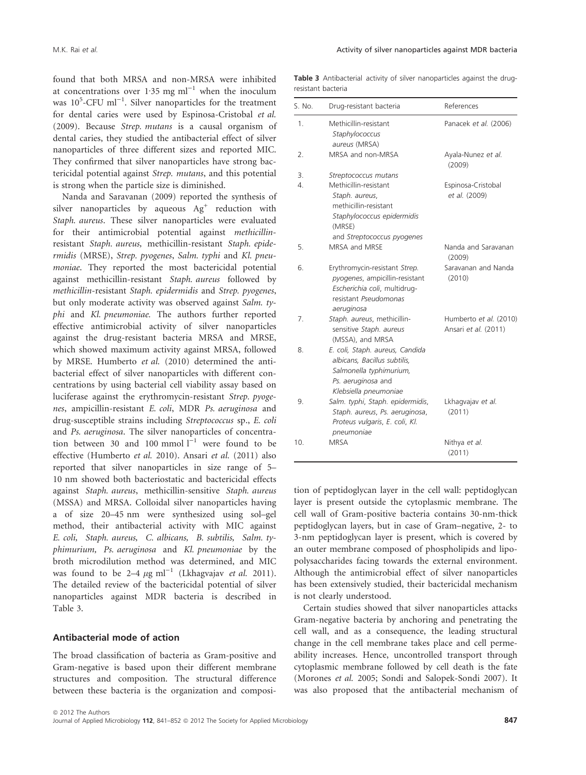found that both MRSA and non-MRSA were inhibited at concentrations over 1.35 mg ml<sup>-1</sup> when the inoculum was  $10^5$ -CFU ml<sup>-1</sup>. Silver nanoparticles for the treatment for dental caries were used by Espinosa-Cristobal et al. (2009). Because Strep. mutans is a causal organism of dental caries, they studied the antibacterial effect of silver nanoparticles of three different sizes and reported MIC. They confirmed that silver nanoparticles have strong bactericidal potential against Strep. mutans, and this potential is strong when the particle size is diminished.

Nanda and Saravanan (2009) reported the synthesis of silver nanoparticles by aqueous  $Ag<sup>+</sup>$  reduction with Staph. aureus. These silver nanoparticles were evaluated for their antimicrobial potential against *methicillin*resistant Staph. aureus, methicillin-resistant Staph. epidermidis (MRSE), Strep. pyogenes, Salm. typhi and Kl. pneumoniae. They reported the most bactericidal potential against methicillin-resistant Staph. aureus followed by methicillin-resistant Staph. epidermidis and Strep. pyogenes, but only moderate activity was observed against Salm. typhi and Kl. pneumoniae. The authors further reported effective antimicrobial activity of silver nanoparticles against the drug-resistant bacteria MRSA and MRSE, which showed maximum activity against MRSA, followed by MRSE. Humberto et al. (2010) determined the antibacterial effect of silver nanoparticles with different concentrations by using bacterial cell viability assay based on luciferase against the erythromycin-resistant Strep. pyogenes, ampicillin-resistant E. coli, MDR Ps. aeruginosa and drug-susceptible strains including Streptococcus sp., E. coli and Ps. aeruginosa. The silver nanoparticles of concentration between 30 and 100 mmol  $1^{-1}$  were found to be effective (Humberto et al. 2010). Ansari et al. (2011) also reported that silver nanoparticles in size range of 5– 10 nm showed both bacteriostatic and bactericidal effects against Staph. aureus, methicillin-sensitive Staph. aureus (MSSA) and MRSA. Colloidal silver nanoparticles having a of size 20–45 nm were synthesized using sol–gel method, their antibacterial activity with MIC against E. coli, Staph. aureus, C. albicans, B. subtilis, Salm. typhimurium, Ps. aeruginosa and Kl. pneumoniae by the broth microdilution method was determined, and MIC was found to be 2–4  $\mu$ g ml<sup>-1</sup> (Lkhagvajav *et al.* 2011). The detailed review of the bactericidal potential of silver nanoparticles against MDR bacteria is described in Table 3.

#### Antibacterial mode of action

The broad classification of bacteria as Gram-positive and Gram-negative is based upon their different membrane structures and composition. The structural difference between these bacteria is the organization and composi-

| S. No. | Drug-resistant bacteria                                                                                                                   | References                                     |
|--------|-------------------------------------------------------------------------------------------------------------------------------------------|------------------------------------------------|
| 1.     | Methicillin-resistant<br>Staphylococcus<br>aureus (MRSA)                                                                                  | Panacek et al. (2006)                          |
| 2.     | MRSA and non-MRSA                                                                                                                         | Ayala-Nunez et al.<br>(2009)                   |
| 3.     | Streptococcus mutans                                                                                                                      |                                                |
| 4      | Methicillin-resistant<br>Staph. aureus,<br>methicillin-resistant<br>Staphylococcus epidermidis<br>(MRSE)<br>and Streptococcus pyogenes    | Espinosa-Cristobal<br>et al. (2009)            |
| 5.     | MRSA and MRSE                                                                                                                             | Nanda and Saravanan<br>(2009)                  |
| 6.     | Erythromycin-resistant Strep.<br>pyogenes, ampicillin-resistant<br>Escherichia coli, multidrug-<br>resistant Pseudomonas<br>aeruginosa    | Saravanan and Nanda<br>(2010)                  |
| 7.     | Staph. aureus, methicillin-<br>sensitive Staph. aureus<br>(MSSA), and MRSA                                                                | Humberto et al. (2010)<br>Ansari et al. (2011) |
| 8.     | E. coli, Staph. aureus, Candida<br>albicans, Bacillus subtilis,<br>Salmonella typhimurium,<br>Ps. aeruginosa and<br>Klebsiella pneumoniae |                                                |
| 9.     | Salm. typhi, Staph. epidermidis,<br>Staph. aureus, Ps. aeruginosa,<br>Proteus vulgaris, E. coli, Kl.<br>pneumoniae                        | Lkhagvajav et al.<br>(2011)                    |
| 10.    | <b>MRSA</b>                                                                                                                               | Nithya et al.<br>(2011)                        |

Table 3 Antibacterial activity of silver nanoparticles against the drugresistant bacteria

tion of peptidoglycan layer in the cell wall: peptidoglycan layer is present outside the cytoplasmic membrane. The cell wall of Gram-positive bacteria contains 30-nm-thick peptidoglycan layers, but in case of Gram–negative, 2- to 3-nm peptidoglycan layer is present, which is covered by an outer membrane composed of phospholipids and lipopolysaccharides facing towards the external environment. Although the antimicrobial effect of silver nanoparticles has been extensively studied, their bactericidal mechanism is not clearly understood.

Certain studies showed that silver nanoparticles attacks Gram-negative bacteria by anchoring and penetrating the cell wall, and as a consequence, the leading structural change in the cell membrane takes place and cell permeability increases. Hence, uncontrolled transport through cytoplasmic membrane followed by cell death is the fate (Morones et al. 2005; Sondi and Salopek-Sondi 2007). It was also proposed that the antibacterial mechanism of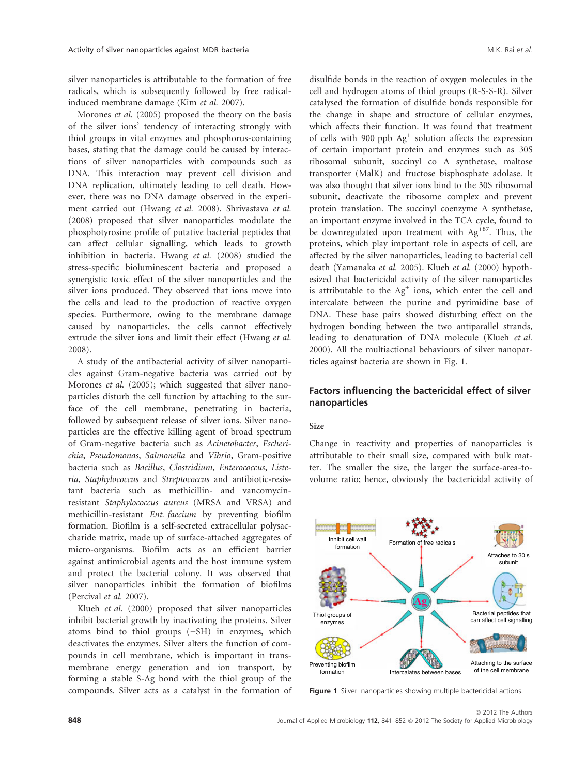silver nanoparticles is attributable to the formation of free radicals, which is subsequently followed by free radicalinduced membrane damage (Kim et al. 2007).

Morones et al. (2005) proposed the theory on the basis of the silver ions' tendency of interacting strongly with thiol groups in vital enzymes and phosphorus-containing bases, stating that the damage could be caused by interactions of silver nanoparticles with compounds such as DNA. This interaction may prevent cell division and DNA replication, ultimately leading to cell death. However, there was no DNA damage observed in the experiment carried out (Hwang et al. 2008). Shrivastava et al. (2008) proposed that silver nanoparticles modulate the phosphotyrosine profile of putative bacterial peptides that can affect cellular signalling, which leads to growth inhibition in bacteria. Hwang et al. (2008) studied the stress-specific bioluminescent bacteria and proposed a synergistic toxic effect of the silver nanoparticles and the silver ions produced. They observed that ions move into the cells and lead to the production of reactive oxygen species. Furthermore, owing to the membrane damage caused by nanoparticles, the cells cannot effectively extrude the silver ions and limit their effect (Hwang et al. 2008).

A study of the antibacterial activity of silver nanoparticles against Gram-negative bacteria was carried out by Morones *et al.* (2005); which suggested that silver nanoparticles disturb the cell function by attaching to the surface of the cell membrane, penetrating in bacteria, followed by subsequent release of silver ions. Silver nanoparticles are the effective killing agent of broad spectrum of Gram-negative bacteria such as Acinetobacter, Escherichia, Pseudomonas, Salmonella and Vibrio, Gram-positive bacteria such as Bacillus, Clostridium, Enterococcus, Listeria, Staphylococcus and Streptococcus and antibiotic-resistant bacteria such as methicillin- and vancomycinresistant Staphylococcus aureus (MRSA and VRSA) and methicillin-resistant Ent. faecium by preventing biofilm formation. Biofilm is a self-secreted extracellular polysaccharide matrix, made up of surface-attached aggregates of micro-organisms. Biofilm acts as an efficient barrier against antimicrobial agents and the host immune system and protect the bacterial colony. It was observed that silver nanoparticles inhibit the formation of biofilms (Percival et al. 2007).

Klueh et al. (2000) proposed that silver nanoparticles inhibit bacterial growth by inactivating the proteins. Silver atoms bind to thiol groups  $(-SH)$  in enzymes, which deactivates the enzymes. Silver alters the function of compounds in cell membrane, which is important in transmembrane energy generation and ion transport, by forming a stable S-Ag bond with the thiol group of the compounds. Silver acts as a catalyst in the formation of disulfide bonds in the reaction of oxygen molecules in the cell and hydrogen atoms of thiol groups (R-S-S-R). Silver catalysed the formation of disulfide bonds responsible for the change in shape and structure of cellular enzymes, which affects their function. It was found that treatment of cells with 900 ppb  $Ag<sup>+</sup>$  solution affects the expression of certain important protein and enzymes such as 30S ribosomal subunit, succinyl co A synthetase, maltose transporter (MalK) and fructose bisphosphate adolase. It was also thought that silver ions bind to the 30S ribosomal subunit, deactivate the ribosome complex and prevent protein translation. The succinyl coenzyme A synthetase, an important enzyme involved in the TCA cycle, found to be downregulated upon treatment with  $Ag^{+87}$ . Thus, the proteins, which play important role in aspects of cell, are affected by the silver nanoparticles, leading to bacterial cell death (Yamanaka et al. 2005). Klueh et al. (2000) hypothesized that bactericidal activity of the silver nanoparticles is attributable to the  $Ag<sup>+</sup>$  ions, which enter the cell and intercalate between the purine and pyrimidine base of DNA. These base pairs showed disturbing effect on the hydrogen bonding between the two antiparallel strands, leading to denaturation of DNA molecule (Klueh et al. 2000). All the multiactional behaviours of silver nanoparticles against bacteria are shown in Fig. 1.

# Factors influencing the bactericidal effect of silver nanoparticles

#### Size

Change in reactivity and properties of nanoparticles is attributable to their small size, compared with bulk matter. The smaller the size, the larger the surface-area-tovolume ratio; hence, obviously the bactericidal activity of



Figure 1 Silver nanoparticles showing multiple bactericidal actions.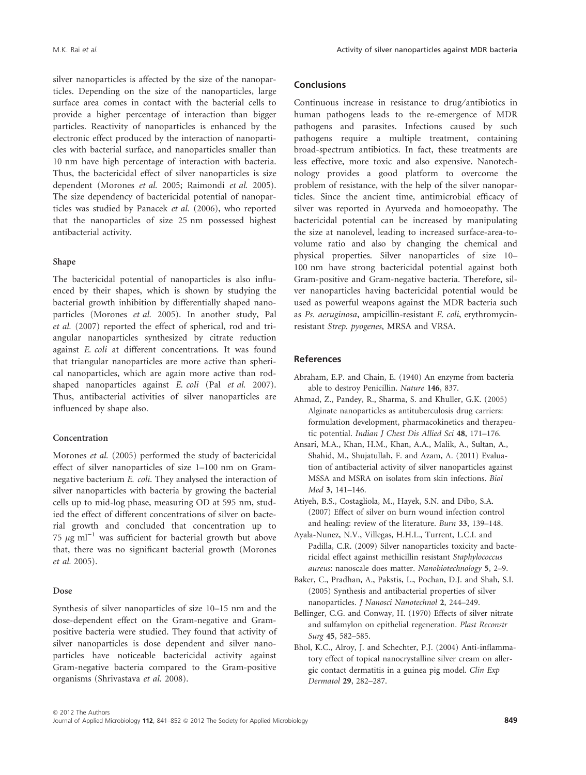silver nanoparticles is affected by the size of the nanoparticles. Depending on the size of the nanoparticles, large surface area comes in contact with the bacterial cells to provide a higher percentage of interaction than bigger particles. Reactivity of nanoparticles is enhanced by the electronic effect produced by the interaction of nanoparticles with bacterial surface, and nanoparticles smaller than 10 nm have high percentage of interaction with bacteria. Thus, the bactericidal effect of silver nanoparticles is size dependent (Morones et al. 2005; Raimondi et al. 2005). The size dependency of bactericidal potential of nanoparticles was studied by Panacek et al. (2006), who reported that the nanoparticles of size 25 nm possessed highest antibacterial activity.

# Shape

The bactericidal potential of nanoparticles is also influenced by their shapes, which is shown by studying the bacterial growth inhibition by differentially shaped nanoparticles (Morones et al. 2005). In another study, Pal et al. (2007) reported the effect of spherical, rod and triangular nanoparticles synthesized by citrate reduction against E. coli at different concentrations. It was found that triangular nanoparticles are more active than spherical nanoparticles, which are again more active than rodshaped nanoparticles against E. coli (Pal et al. 2007). Thus, antibacterial activities of silver nanoparticles are influenced by shape also.

# Concentration

Morones et al. (2005) performed the study of bactericidal effect of silver nanoparticles of size 1–100 nm on Gramnegative bacterium E. coli. They analysed the interaction of silver nanoparticles with bacteria by growing the bacterial cells up to mid-log phase, measuring OD at 595 nm, studied the effect of different concentrations of silver on bacterial growth and concluded that concentration up to 75  $\mu$ g ml<sup>-1</sup> was sufficient for bacterial growth but above that, there was no significant bacterial growth (Morones et al. 2005).

#### Dose

Synthesis of silver nanoparticles of size 10–15 nm and the dose-dependent effect on the Gram-negative and Grampositive bacteria were studied. They found that activity of silver nanoparticles is dose dependent and silver nanoparticles have noticeable bactericidal activity against Gram-negative bacteria compared to the Gram-positive organisms (Shrivastava et al. 2008).

## **Conclusions**

Continuous increase in resistance to drug/antibiotics in human pathogens leads to the re-emergence of MDR pathogens and parasites. Infections caused by such pathogens require a multiple treatment, containing broad-spectrum antibiotics. In fact, these treatments are less effective, more toxic and also expensive. Nanotechnology provides a good platform to overcome the problem of resistance, with the help of the silver nanoparticles. Since the ancient time, antimicrobial efficacy of silver was reported in Ayurveda and homoeopathy. The bactericidal potential can be increased by manipulating the size at nanolevel, leading to increased surface-area-tovolume ratio and also by changing the chemical and physical properties. Silver nanoparticles of size 10– 100 nm have strong bactericidal potential against both Gram-positive and Gram-negative bacteria. Therefore, silver nanoparticles having bactericidal potential would be used as powerful weapons against the MDR bacteria such as Ps. aeruginosa, ampicillin-resistant E. coli, erythromycinresistant Strep. pyogenes, MRSA and VRSA.

# References

- Abraham, E.P. and Chain, E. (1940) An enzyme from bacteria able to destroy Penicillin. Nature 146, 837.
- Ahmad, Z., Pandey, R., Sharma, S. and Khuller, G.K. (2005) Alginate nanoparticles as antituberculosis drug carriers: formulation development, pharmacokinetics and therapeutic potential. Indian J Chest Dis Allied Sci 48, 171–176.
- Ansari, M.A., Khan, H.M., Khan, A.A., Malik, A., Sultan, A., Shahid, M., Shujatullah, F. and Azam, A. (2011) Evaluation of antibacterial activity of silver nanoparticles against MSSA and MSRA on isolates from skin infections. Biol Med 3, 141–146.
- Atiyeh, B.S., Costagliola, M., Hayek, S.N. and Dibo, S.A. (2007) Effect of silver on burn wound infection control and healing: review of the literature. Burn 33, 139–148.
- Ayala-Nunez, N.V., Villegas, H.H.L., Turrent, L.C.I. and Padilla, C.R. (2009) Silver nanoparticles toxicity and bactericidal effect against methicillin resistant Staphylococcus aureus: nanoscale does matter. Nanobiotechnology 5, 2–9.
- Baker, C., Pradhan, A., Pakstis, L., Pochan, D.J. and Shah, S.I. (2005) Synthesis and antibacterial properties of silver nanoparticles. J Nanosci Nanotechnol 2, 244–249.
- Bellinger, C.G. and Conway, H. (1970) Effects of silver nitrate and sulfamylon on epithelial regeneration. Plast Reconstr Surg 45, 582–585.
- Bhol, K.C., Alroy, J. and Schechter, P.J. (2004) Anti-inflammatory effect of topical nanocrystalline silver cream on allergic contact dermatitis in a guinea pig model. Clin Exp Dermatol 29, 282–287.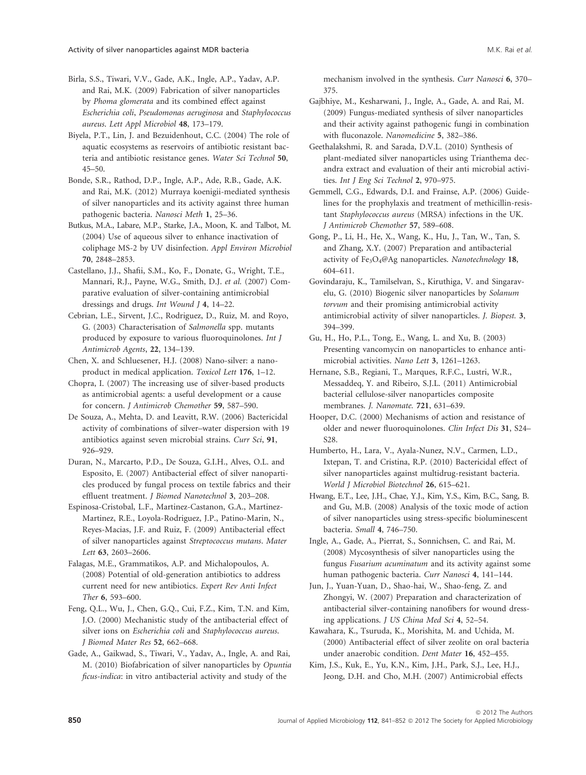- Birla, S.S., Tiwari, V.V., Gade, A.K., Ingle, A.P., Yadav, A.P. and Rai, M.K. (2009) Fabrication of silver nanoparticles by Phoma glomerata and its combined effect against Escherichia coli, Pseudomonas aeruginosa and Staphylococcus aureus. Lett Appl Microbiol 48, 173–179.
- Biyela, P.T., Lin, J. and Bezuidenhout, C.C. (2004) The role of aquatic ecosystems as reservoirs of antibiotic resistant bacteria and antibiotic resistance genes. Water Sci Technol 50, 45–50.
- Bonde, S.R., Rathod, D.P., Ingle, A.P., Ade, R.B., Gade, A.K. and Rai, M.K. (2012) Murraya koenigii-mediated synthesis of silver nanoparticles and its activity against three human pathogenic bacteria. Nanosci Meth 1, 25–36.
- Butkus, M.A., Labare, M.P., Starke, J.A., Moon, K. and Talbot, M. (2004) Use of aqueous silver to enhance inactivation of coliphage MS-2 by UV disinfection. Appl Environ Microbiol 70, 2848–2853.
- Castellano, J.J., Shafii, S.M., Ko, F., Donate, G., Wright, T.E., Mannari, R.J., Payne, W.G., Smith, D.J. et al. (2007) Comparative evaluation of silver-containing antimicrobial dressings and drugs. Int Wound J 4, 14–22.
- Cebrian, L.E., Sirvent, J.C., Rodriguez, D., Ruiz, M. and Royo, G. (2003) Characterisation of Salmonella spp. mutants produced by exposure to various fluoroquinolones. Int J Antimicrob Agents, 22, 134–139.
- Chen, X. and Schluesener, H.J. (2008) Nano-silver: a nanoproduct in medical application. Toxicol Lett 176, 1–12.
- Chopra, I. (2007) The increasing use of silver-based products as antimicrobial agents: a useful development or a cause for concern. J Antimicrob Chemother 59, 587–590.
- De Souza, A., Mehta, D. and Leavitt, R.W. (2006) Bactericidal activity of combinations of silver–water dispersion with 19 antibiotics against seven microbial strains. Curr Sci, 91, 926–929.
- Duran, N., Marcarto, P.D., De Souza, G.I.H., Alves, O.L. and Esposito, E. (2007) Antibacterial effect of silver nanoparticles produced by fungal process on textile fabrics and their effluent treatment. J Biomed Nanotechnol 3, 203–208.
- Espinosa-Cristobal, L.F., Martinez-Castanon, G.A., Martinez-Martinez, R.E., Loyola-Rodriguez, J.P., Patino-Marin, N., Reyes-Macias, J.F. and Ruiz, F. (2009) Antibacterial effect of silver nanoparticles against Streptococcus mutans. Mater Lett 63, 2603–2606.
- Falagas, M.E., Grammatikos, A.P. and Michalopoulos, A. (2008) Potential of old-generation antibiotics to address current need for new antibiotics. Expert Rev Anti Infect Ther 6, 593–600.
- Feng, Q.L., Wu, J., Chen, G.Q., Cui, F.Z., Kim, T.N. and Kim, J.O. (2000) Mechanistic study of the antibacterial effect of silver ions on Escherichia coli and Staphylococcus aureus. J Biomed Mater Res 52, 662–668.
- Gade, A., Gaikwad, S., Tiwari, V., Yadav, A., Ingle, A. and Rai, M. (2010) Biofabrication of silver nanoparticles by Opuntia ficus-indica: in vitro antibacterial activity and study of the

mechanism involved in the synthesis. Curr Nanosci 6, 370– 375.

- Gajbhiye, M., Kesharwani, J., Ingle, A., Gade, A. and Rai, M. (2009) Fungus-mediated synthesis of silver nanoparticles and their activity against pathogenic fungi in combination with fluconazole. Nanomedicine 5, 382–386.
- Geethalakshmi, R. and Sarada, D.V.L. (2010) Synthesis of plant-mediated silver nanoparticles using Trianthema decandra extract and evaluation of their anti microbial activities. Int J Eng Sci Technol 2, 970–975.
- Gemmell, C.G., Edwards, D.I. and Frainse, A.P. (2006) Guidelines for the prophylaxis and treatment of methicillin-resistant Staphylococcus aureus (MRSA) infections in the UK. J Antimicrob Chemother 57, 589–608.
- Gong, P., Li, H., He, X., Wang, K., Hu, J., Tan, W., Tan, S. and Zhang, X.Y. (2007) Preparation and antibacterial activity of Fe<sub>3</sub>O<sub>4</sub>@Ag nanoparticles. Nanotechnology 18, 604–611.
- Govindaraju, K., Tamilselvan, S., Kiruthiga, V. and Singaravelu, G. (2010) Biogenic silver nanoparticles by Solanum torvum and their promising antimicrobial activity antimicrobial activity of silver nanoparticles. J. Biopest. 3, 394–399.
- Gu, H., Ho, P.L., Tong, E., Wang, L. and Xu, B. (2003) Presenting vancomycin on nanoparticles to enhance antimicrobial activities. Nano Lett 3, 1261–1263.
- Hernane, S.B., Regiani, T., Marques, R.F.C., Lustri, W.R., Messaddeq, Y. and Ribeiro, S.J.L. (2011) Antimicrobial bacterial cellulose-silver nanoparticles composite membranes. J. Nanomate. 721, 631–639.
- Hooper, D.C. (2000) Mechanisms of action and resistance of older and newer fluoroquinolones. Clin Infect Dis 31, S24– S28.
- Humberto, H., Lara, V., Ayala-Nunez, N.V., Carmen, L.D., Ixtepan, T. and Cristina, R.P. (2010) Bactericidal effect of silver nanoparticles against multidrug-resistant bacteria. World J Microbiol Biotechnol 26, 615–621.
- Hwang, E.T., Lee, J.H., Chae, Y.J., Kim, Y.S., Kim, B.C., Sang, B. and Gu, M.B. (2008) Analysis of the toxic mode of action of silver nanoparticles using stress-specific bioluminescent bacteria. Small 4, 746–750.
- Ingle, A., Gade, A., Pierrat, S., Sonnichsen, C. and Rai, M. (2008) Mycosynthesis of silver nanoparticles using the fungus Fusarium acuminatum and its activity against some human pathogenic bacteria. Curr Nanosci 4, 141–144.
- Jun, J., Yuan-Yuan, D., Shao-hai, W., Shao-feng, Z. and Zhongyi, W. (2007) Preparation and characterization of antibacterial silver-containing nanofibers for wound dressing applications. J US China Med Sci 4, 52–54.
- Kawahara, K., Tsuruda, K., Morishita, M. and Uchida, M. (2000) Antibacterial effect of silver zeolite on oral bacteria under anaerobic condition. Dent Mater 16, 452–455.
- Kim, J.S., Kuk, E., Yu, K.N., Kim, J.H., Park, S.J., Lee, H.J., Jeong, D.H. and Cho, M.H. (2007) Antimicrobial effects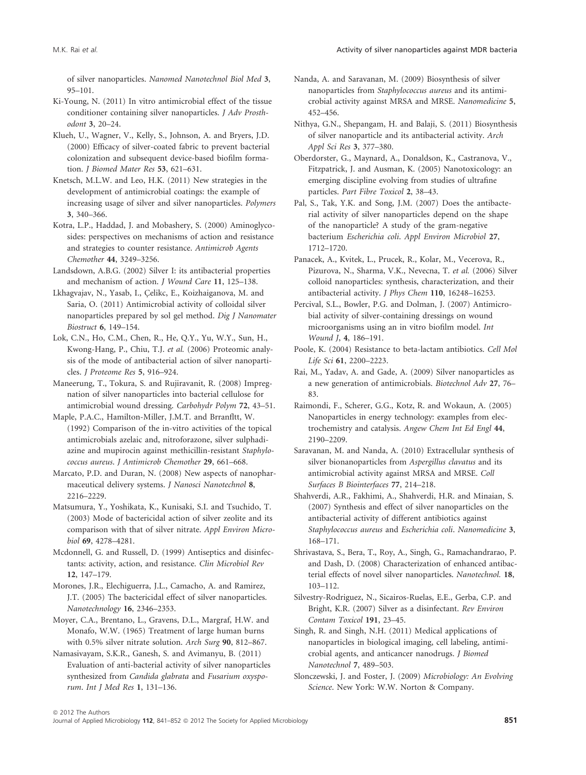of silver nanoparticles. Nanomed Nanotechnol Biol Med 3, 95–101.

Ki-Young, N. (2011) In vitro antimicrobial effect of the tissue conditioner containing silver nanoparticles. J Adv Prosthodont 3, 20–24.

Klueh, U., Wagner, V., Kelly, S., Johnson, A. and Bryers, J.D. (2000) Efficacy of silver-coated fabric to prevent bacterial colonization and subsequent device-based biofilm formation. J Biomed Mater Res 53, 621–631.

Knetsch, M.L.W. and Leo, H.K. (2011) New strategies in the development of antimicrobial coatings: the example of increasing usage of silver and silver nanoparticles. Polymers 3, 340–366.

Kotra, L.P., Haddad, J. and Mobashery, S. (2000) Aminoglycosides: perspectives on mechanisms of action and resistance and strategies to counter resistance. Antimicrob Agents Chemother 44, 3249–3256.

Landsdown, A.B.G. (2002) Silver I: its antibacterial properties and mechanism of action. J Wound Care 11, 125–138.

Lkhagvajav, N., Yasab, I., Çelikc, E., Koizhaiganova, M. and Saria, O. (2011) Antimicrobial activity of colloidal silver nanoparticles prepared by sol gel method. Dig J Nanomater Biostruct 6, 149–154.

Lok, C.N., Ho, C.M., Chen, R., He, Q.Y., Yu, W.Y., Sun, H., Kwong-Hang, P., Chiu, T.J. et al. (2006) Proteomic analysis of the mode of antibacterial action of silver nanoparticles. J Proteome Res 5, 916–924.

Maneerung, T., Tokura, S. and Rujiravanit, R. (2008) Impregnation of silver nanoparticles into bacterial cellulose for antimicrobial wound dressing. Carbohydr Polym 72, 43–51.

Maple, P.A.C., Hamilton-Miller, J.M.T. and Brranfltt, W. (1992) Comparison of the in-vitro activities of the topical antimicrobials azelaic and, nitroforazone, silver sulphadiazine and mupirocin against methicillin-resistant Staphylococcus aureus. J Antimicrob Chemother 29, 661–668.

Marcato, P.D. and Duran, N. (2008) New aspects of nanopharmaceutical delivery systems. J Nanosci Nanotechnol 8, 2216–2229.

Matsumura, Y., Yoshikata, K., Kunisaki, S.I. and Tsuchido, T. (2003) Mode of bactericidal action of silver zeolite and its comparison with that of silver nitrate. Appl Environ Microbiol 69, 4278–4281.

Mcdonnell, G. and Russell, D. (1999) Antiseptics and disinfectants: activity, action, and resistance. Clin Microbiol Rev 12, 147–179.

Morones, J.R., Elechiguerra, J.L., Camacho, A. and Ramirez, J.T. (2005) The bactericidal effect of silver nanoparticles. Nanotechnology 16, 2346–2353.

Moyer, C.A., Brentano, L., Gravens, D.L., Margraf, H.W. and Monafo, W.W. (1965) Treatment of large human burns with 0.5% silver nitrate solution. Arch Surg 90, 812–867.

Namasivayam, S.K.R., Ganesh, S. and Avimanyu, B. (2011) Evaluation of anti-bacterial activity of silver nanoparticles synthesized from Candida glabrata and Fusarium oxysporum. Int J Med Res 1, 131–136.

Nanda, A. and Saravanan, M. (2009) Biosynthesis of silver nanoparticles from Staphylococcus aureus and its antimicrobial activity against MRSA and MRSE. Nanomedicine 5, 452–456.

Nithya, G.N., Shepangam, H. and Balaji, S. (2011) Biosynthesis of silver nanoparticle and its antibacterial activity. Arch Appl Sci Res 3, 377–380.

Oberdorster, G., Maynard, A., Donaldson, K., Castranova, V., Fitzpatrick, J. and Ausman, K. (2005) Nanotoxicology: an emerging discipline evolving from studies of ultrafine particles. Part Fibre Toxicol 2, 38–43.

Pal, S., Tak, Y.K. and Song, J.M. (2007) Does the antibacterial activity of silver nanoparticles depend on the shape of the nanoparticle? A study of the gram-negative bacterium Escherichia coli. Appl Environ Microbiol 27, 1712–1720.

Panacek, A., Kvitek, L., Prucek, R., Kolar, M., Vecerova, R., Pizurova, N., Sharma, V.K., Nevecna, T. et al. (2006) Silver colloid nanoparticles: synthesis, characterization, and their antibacterial activity. J Phys Chem 110, 16248–16253.

Percival, S.L., Bowler, P.G. and Dolman, J. (2007) Antimicrobial activity of silver-containing dressings on wound microorganisms using an in vitro biofilm model. Int Wound J, 4, 186–191.

Poole, K. (2004) Resistance to beta-lactam antibiotics. Cell Mol Life Sci 61, 2200–2223.

Rai, M., Yadav, A. and Gade, A. (2009) Silver nanoparticles as a new generation of antimicrobials. Biotechnol Adv 27, 76– 83.

Raimondi, F., Scherer, G.G., Kotz, R. and Wokaun, A. (2005) Nanoparticles in energy technology: examples from electrochemistry and catalysis. Angew Chem Int Ed Engl 44, 2190–2209.

Saravanan, M. and Nanda, A. (2010) Extracellular synthesis of silver bionanoparticles from Aspergillus clavatus and its antimicrobial activity against MRSA and MRSE. Coll Surfaces B Biointerfaces 77, 214–218.

Shahverdi, A.R., Fakhimi, A., Shahverdi, H.R. and Minaian, S. (2007) Synthesis and effect of silver nanoparticles on the antibacterial activity of different antibiotics against Staphylococcus aureus and Escherichia coli. Nanomedicine 3, 168–171.

Shrivastava, S., Bera, T., Roy, A., Singh, G., Ramachandrarao, P. and Dash, D. (2008) Characterization of enhanced antibacterial effects of novel silver nanoparticles. Nanotechnol. 18, 103–112.

Silvestry-Rodriguez, N., Sicairos-Ruelas, E.E., Gerba, C.P. and Bright, K.R. (2007) Silver as a disinfectant. Rev Environ Contam Toxicol 191, 23–45.

Singh, R. and Singh, N.H. (2011) Medical applications of nanoparticles in biological imaging, cell labeling, antimicrobial agents, and anticancer nanodrugs. J Biomed Nanotechnol 7, 489–503.

Slonczewski, J. and Foster, J. (2009) Microbiology: An Evolving Science. New York: W.W. Norton & Company.

Journal of Applied Microbiology 112, 841-852 © 2012 The Society for Applied Microbiology **851**